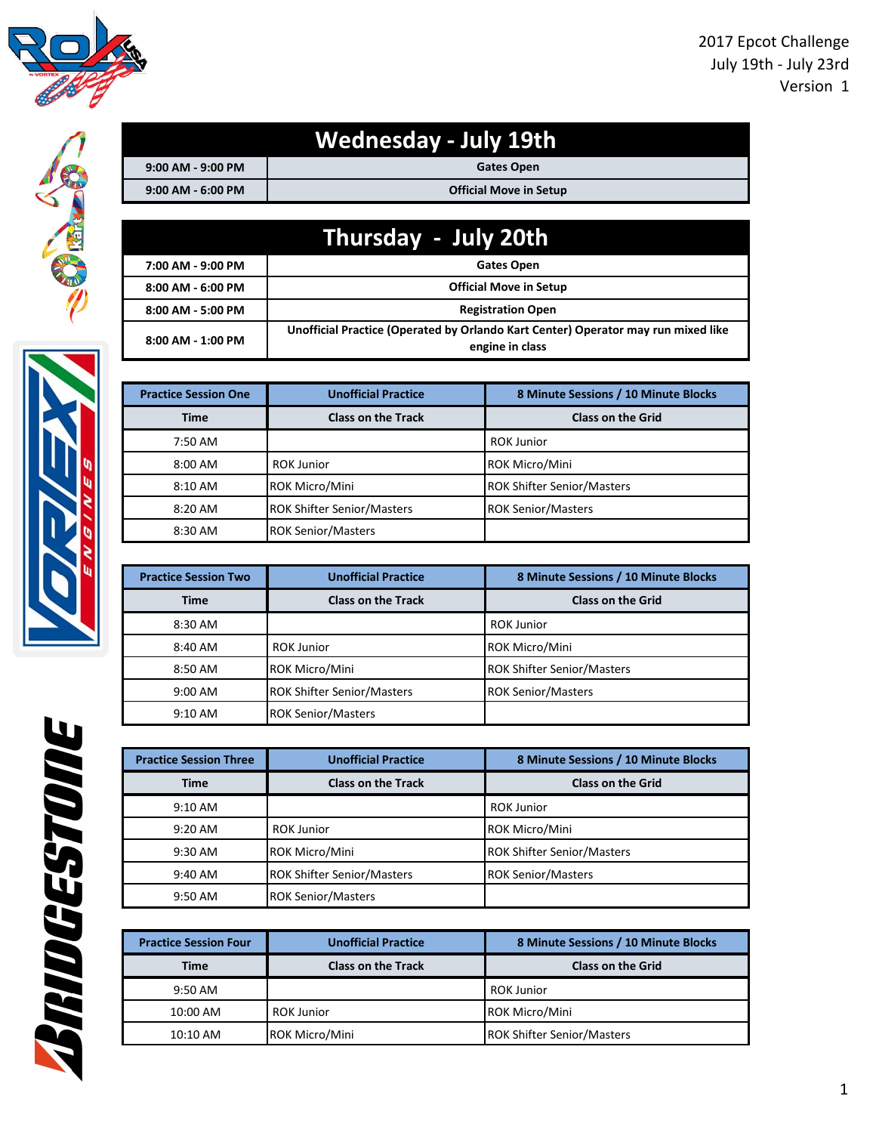

|                       | <b>Wednesday - July 19th</b>  |
|-----------------------|-------------------------------|
| $9:00$ AM - $9:00$ PM | <b>Gates Open</b>             |
| $9:00$ AM - 6:00 PM   | <b>Official Move in Setup</b> |

|                       | Thursday - July 20th                                                                                 |
|-----------------------|------------------------------------------------------------------------------------------------------|
| 7:00 AM - 9:00 PM     | <b>Gates Open</b>                                                                                    |
| $8:00$ AM - $6:00$ PM | <b>Official Move in Setup</b>                                                                        |
| 8:00 AM - 5:00 PM     | <b>Registration Open</b>                                                                             |
| $8:00$ AM - 1:00 PM   | Unofficial Practice (Operated by Orlando Kart Center) Operator may run mixed like<br>engine in class |

| <b>Practice Session One</b> | <b>Unofficial Practice</b>        | 8 Minute Sessions / 10 Minute Blocks |
|-----------------------------|-----------------------------------|--------------------------------------|
| <b>Time</b>                 | <b>Class on the Track</b>         | <b>Class on the Grid</b>             |
| 7:50 AM                     |                                   | <b>ROK Junior</b>                    |
| $8:00$ AM                   | <b>ROK Junior</b>                 | ROK Micro/Mini                       |
| $8:10$ AM                   | <b>ROK Micro/Mini</b>             | <b>ROK Shifter Senior/Masters</b>    |
| $8:20$ AM                   | <b>ROK Shifter Senior/Masters</b> | <b>ROK Senior/Masters</b>            |
| 8:30 AM                     | <b>ROK Senior/Masters</b>         |                                      |

| <b>Practice Session Two</b> | <b>Unofficial Practice</b>        | 8 Minute Sessions / 10 Minute Blocks |
|-----------------------------|-----------------------------------|--------------------------------------|
| <b>Time</b>                 | <b>Class on the Track</b>         | <b>Class on the Grid</b>             |
| 8:30 AM                     |                                   | <b>ROK Junior</b>                    |
| 8:40 AM                     | <b>ROK Junior</b>                 | <b>ROK Micro/Mini</b>                |
| 8:50 AM                     | <b>ROK Micro/Mini</b>             | <b>ROK Shifter Senior/Masters</b>    |
| $9:00 \text{ AM}$           | <b>ROK Shifter Senior/Masters</b> | <b>ROK Senior/Masters</b>            |
| $9:10$ AM                   | <b>ROK Senior/Masters</b>         |                                      |

| <b>Practice Session Three</b> | <b>Unofficial Practice</b>        | 8 Minute Sessions / 10 Minute Blocks |
|-------------------------------|-----------------------------------|--------------------------------------|
| <b>Time</b>                   | <b>Class on the Track</b>         | <b>Class on the Grid</b>             |
| $9:10$ AM                     |                                   | <b>ROK Junior</b>                    |
| $9:20$ AM                     | <b>ROK Junior</b>                 | <b>ROK Micro/Mini</b>                |
| $9:30$ AM                     | <b>ROK Micro/Mini</b>             | <b>ROK Shifter Senior/Masters</b>    |
| $9:40 \text{ AM}$             | <b>ROK Shifter Senior/Masters</b> | <b>ROK Senior/Masters</b>            |
| $9:50 \text{ AM}$             | <b>ROK Senior/Masters</b>         |                                      |

| <b>Practice Session Four</b> | <b>Unofficial Practice</b> | 8 Minute Sessions / 10 Minute Blocks |
|------------------------------|----------------------------|--------------------------------------|
| <b>Time</b>                  | <b>Class on the Track</b>  | <b>Class on the Grid</b>             |
| 9:50 AM                      |                            | <b>ROK Junior</b>                    |
| 10:00 AM                     | <b>ROK Junior</b>          | <b>ROK Micro/Mini</b>                |
| $10:10$ AM                   | <b>ROK Micro/Mini</b>      | <b>ROK Shifter Senior/Masters</b>    |
|                              |                            |                                      |

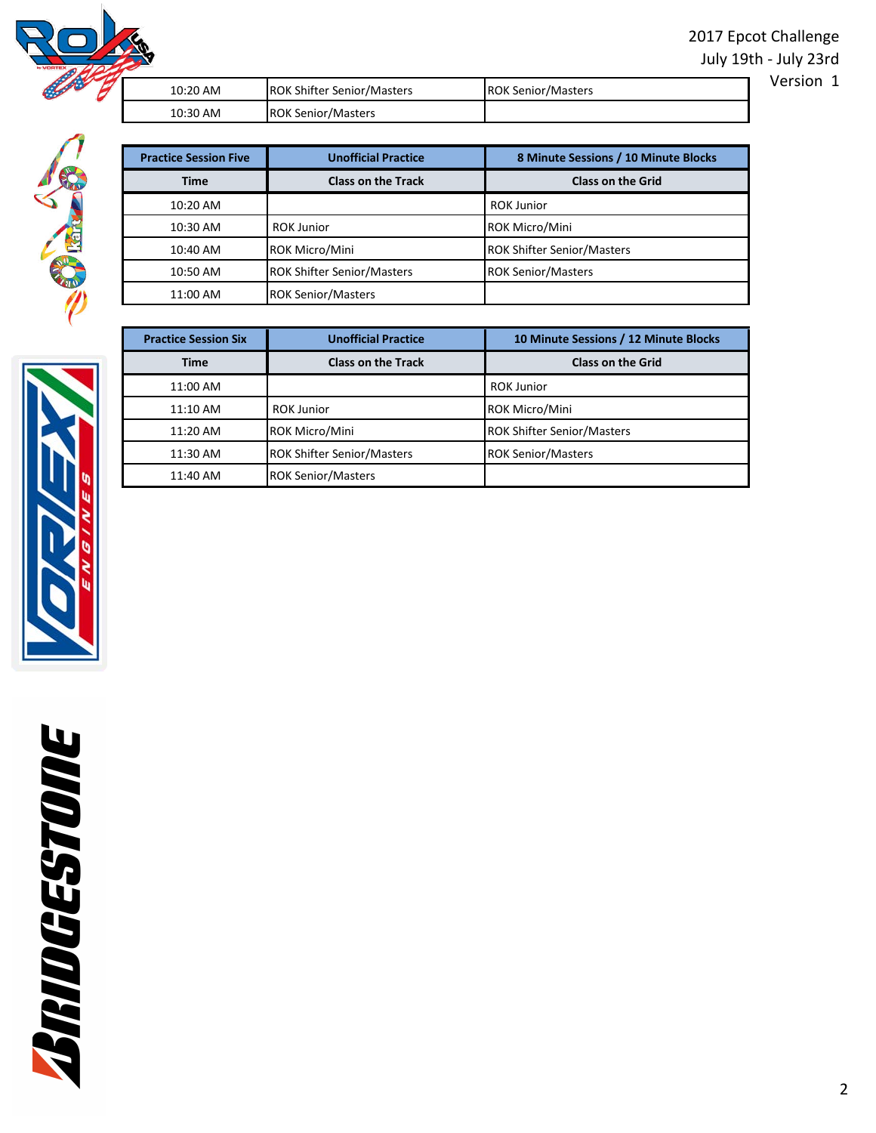2017 Epcot Challenge July 19th - July 23rd

Version 1



| 10:20 AM | <b>ROK Shifter Senior/Masters</b> | <b>ROK Senior/Masters</b> |
|----------|-----------------------------------|---------------------------|
| 10:30 AM | <b>ROK Senior/Masters</b>         |                           |

| <b>Practice Session Five</b> | <b>Unofficial Practice</b>        | 8 Minute Sessions / 10 Minute Blocks |
|------------------------------|-----------------------------------|--------------------------------------|
| <b>Time</b>                  | <b>Class on the Track</b>         | <b>Class on the Grid</b>             |
| 10:20 AM                     |                                   | <b>ROK Junior</b>                    |
| 10:30 AM                     | <b>ROK Junior</b>                 | <b>ROK Micro/Mini</b>                |
| 10:40 AM                     | <b>ROK Micro/Mini</b>             | <b>ROK Shifter Senior/Masters</b>    |
| 10:50 AM                     | <b>ROK Shifter Senior/Masters</b> | <b>ROK Senior/Masters</b>            |
| 11:00 AM                     | <b>ROK Senior/Masters</b>         |                                      |

| <b>Practice Session Six</b> | <b>Unofficial Practice</b>        | 10 Minute Sessions / 12 Minute Blocks |
|-----------------------------|-----------------------------------|---------------------------------------|
| <b>Time</b>                 | <b>Class on the Track</b>         | <b>Class on the Grid</b>              |
| 11:00 AM                    |                                   | <b>ROK Junior</b>                     |
| $11:10$ AM                  | <b>ROK Junior</b>                 | <b>ROK Micro/Mini</b>                 |
| 11:20 AM                    | ROK Micro/Mini                    | <b>ROK Shifter Senior/Masters</b>     |
| 11:30 AM                    | <b>ROK Shifter Senior/Masters</b> | <b>ROK Senior/Masters</b>             |
| 11:40 AM                    | <b>ROK Senior/Masters</b>         |                                       |

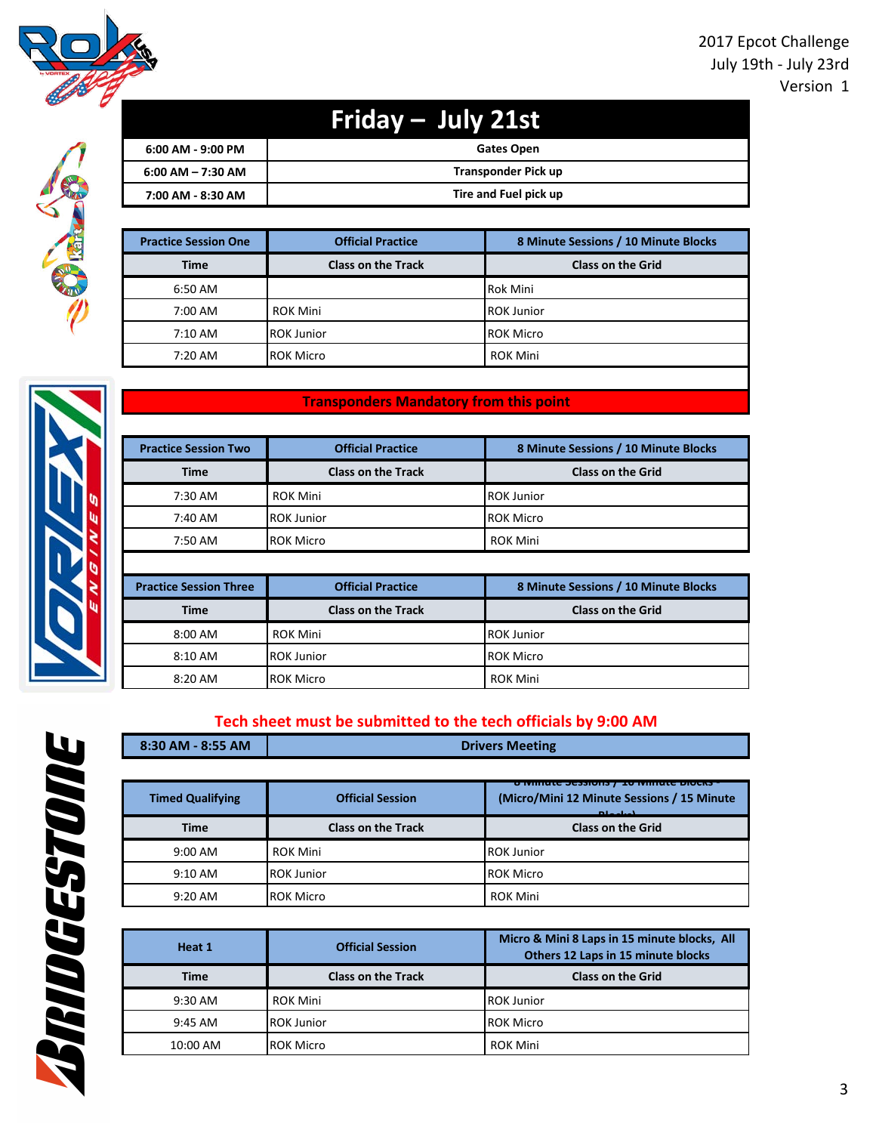

SIG

| Friday - July 21st    |                       |
|-----------------------|-----------------------|
| $6:00$ AM - 9:00 PM   | Gates Open            |
| $6:00$ AM $- 7:30$ AM | Transponder Pick up   |
| 7:00 AM - 8:30 AM     | Tire and Fuel pick up |

| <b>Practice Session One</b> | <b>Official Practice</b>  | 8 Minute Sessions / 10 Minute Blocks |
|-----------------------------|---------------------------|--------------------------------------|
| <b>Time</b>                 | <b>Class on the Track</b> | <b>Class on the Grid</b>             |
| 6:50 AM                     |                           | <b>Rok Mini</b>                      |
| 7:00 AM                     | <b>ROK Mini</b>           | <b>ROK Junior</b>                    |
| $7:10 \text{ AM}$           | <b>ROK Junior</b>         | <b>ROK Micro</b>                     |
| $7:20$ AM                   | <b>ROK Micro</b>          | <b>ROK Mini</b>                      |

### **Transponders Mandatory from this point**

| <b>Practice Session Two</b> | <b>Official Practice</b>  | 8 Minute Sessions / 10 Minute Blocks |
|-----------------------------|---------------------------|--------------------------------------|
| <b>Time</b>                 | <b>Class on the Track</b> | <b>Class on the Grid</b>             |
| 7:30 AM                     | <b>ROK Mini</b>           | <b>ROK Junior</b>                    |
| 7:40 AM                     | <b>ROK Junior</b>         | <b>ROK Micro</b>                     |
| 7:50 AM                     | <b>ROK Micro</b>          | <b>ROK Mini</b>                      |

| <b>Practice Session Three</b> | <b>Official Practice</b>  | 8 Minute Sessions / 10 Minute Blocks |  |
|-------------------------------|---------------------------|--------------------------------------|--|
| <b>Time</b>                   | <b>Class on the Track</b> | <b>Class on the Grid</b>             |  |
| 8:00 AM                       | <b>ROK Mini</b>           | <b>ROK Junior</b>                    |  |
| $8:10$ AM                     | <b>ROK Junior</b>         | <b>ROK Micro</b>                     |  |
| 8:20 AM                       | <b>ROK Micro</b>          | <b>ROK Mini</b>                      |  |

## **Tech sheet must be submitted to the tech officials by 9:00 AM**

| 8:30 AM - 8:55 AM       | <b>Drivers Meeting</b>    |                                                                                                                     |
|-------------------------|---------------------------|---------------------------------------------------------------------------------------------------------------------|
|                         |                           |                                                                                                                     |
| <b>Timed Qualifying</b> | <b>Official Session</b>   | PAVENTILILLIA PILLERA<br><u>lo khirilik terterilik i</u><br>(Micro/Mini 12 Minute Sessions / 15 Minute<br>المباحدات |
| <b>Time</b>             | <b>Class on the Track</b> | <b>Class on the Grid</b>                                                                                            |
| 9:00 AM                 | <b>ROK Mini</b>           | <b>ROK Junior</b>                                                                                                   |
| $9:10 \text{ AM}$       | <b>ROK Junior</b>         | <b>ROK Micro</b>                                                                                                    |
| $9:20 \text{ AM}$       | <b>ROK Micro</b>          | <b>ROK Mini</b>                                                                                                     |

| Heat 1      | <b>Official Session</b>   | Micro & Mini 8 Laps in 15 minute blocks, All<br>Others 12 Laps in 15 minute blocks |
|-------------|---------------------------|------------------------------------------------------------------------------------|
| <b>Time</b> | <b>Class on the Track</b> | <b>Class on the Grid</b>                                                           |
| $9:30$ AM   | ROK Mini                  | <b>ROK Junior</b>                                                                  |
| $9:45$ AM   | <b>ROK Junior</b>         | <b>ROK Micro</b>                                                                   |
| 10:00 AM    | <b>ROK Micro</b>          | <b>ROK Mini</b>                                                                    |



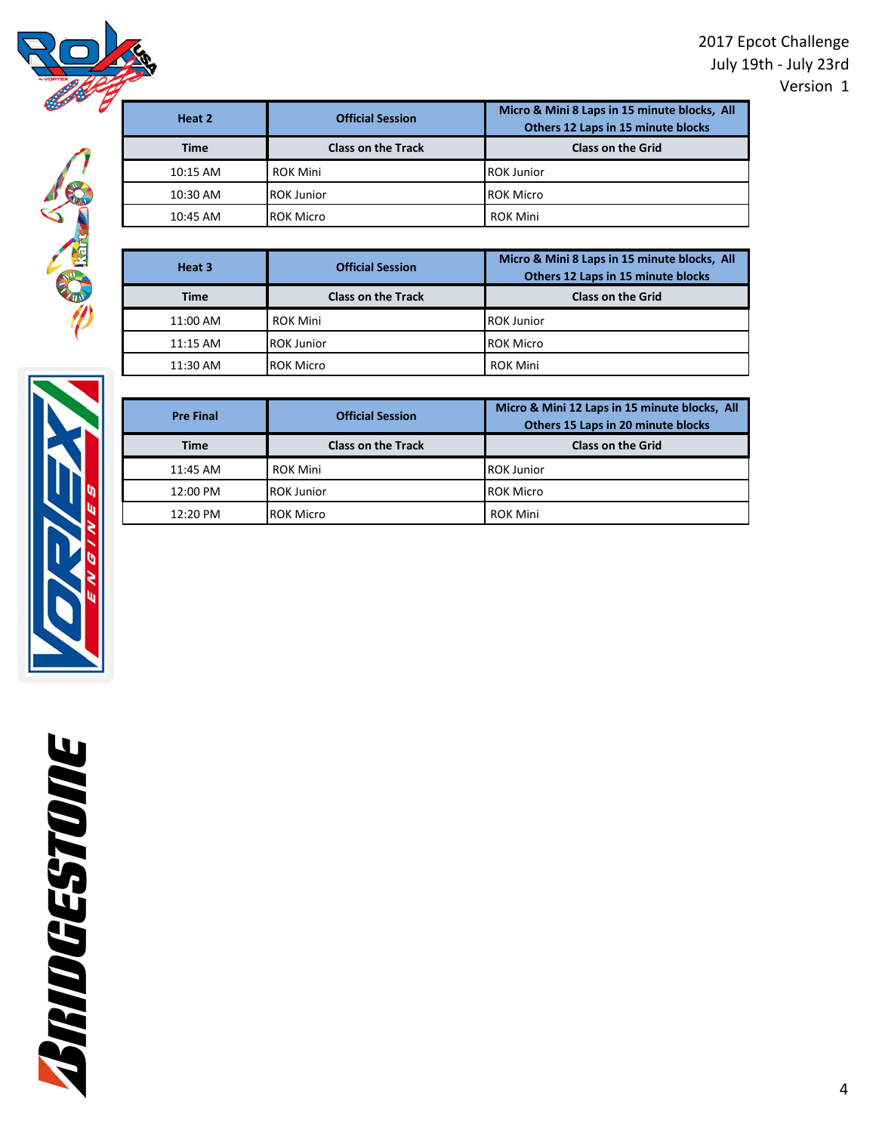2017 Epcot Challenge July 19th - July 23rd Version 1





| Heat 2      | <b>Official Session</b>   | Micro & Mini 8 Laps in 15 minute blocks, All<br>Others 12 Laps in 15 minute blocks |
|-------------|---------------------------|------------------------------------------------------------------------------------|
| <b>Time</b> | <b>Class on the Track</b> | <b>Class on the Grid</b>                                                           |
| $10:15$ AM  | <b>ROK Mini</b>           | <b>ROK Junior</b>                                                                  |
| 10:30 AM    | <b>ROK Junior</b>         | <b>ROK Micro</b>                                                                   |
| $10:45$ AM  | <b>ROK Micro</b>          | <b>ROK Mini</b>                                                                    |

| Heat 3      | <b>Official Session</b>   | Micro & Mini 8 Laps in 15 minute blocks, All<br>Others 12 Laps in 15 minute blocks |
|-------------|---------------------------|------------------------------------------------------------------------------------|
| <b>Time</b> | <b>Class on the Track</b> | <b>Class on the Grid</b>                                                           |
| 11:00 AM    | <b>ROK Mini</b>           | <b>ROK Junior</b>                                                                  |
| $11:15$ AM  | <b>ROK Junior</b>         | <b>ROK Micro</b>                                                                   |
| 11:30 AM    | <b>ROK Micro</b>          | <b>ROK Mini</b>                                                                    |



| <b>Pre Final</b> | <b>Official Session</b>   | Micro & Mini 12 Laps in 15 minute blocks, All<br>Others 15 Laps in 20 minute blocks |
|------------------|---------------------------|-------------------------------------------------------------------------------------|
| <b>Time</b>      | <b>Class on the Track</b> | <b>Class on the Grid</b>                                                            |
| 11:45 AM         | <b>ROK Mini</b>           | <b>ROK Junior</b>                                                                   |
| 12:00 PM         | <b>ROK Junior</b>         | <b>ROK Micro</b>                                                                    |
| 12:20 PM         | <b>ROK Micro</b>          | <b>ROK Mini</b>                                                                     |

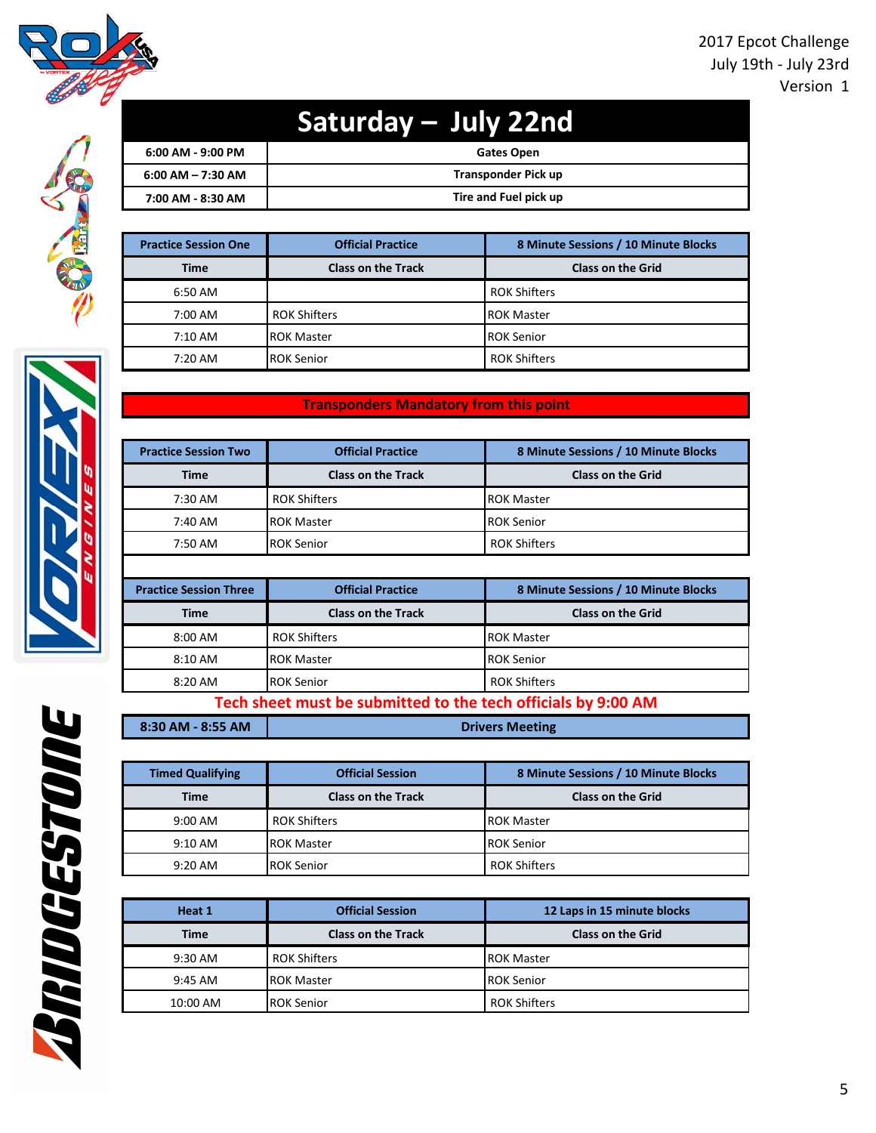

# **Saturday – July 22nd**

| $6:00$ AM - 9:00 PM  | <b>Gates Open</b>     |
|----------------------|-----------------------|
| $6:00$ AM $-7:30$ AM | Transponder Pick up   |
| 7:00 AM - 8:30 AM    | Tire and Fuel pick up |

| <b>Practice Session One</b> | <b>Official Practice</b>  | 8 Minute Sessions / 10 Minute Blocks |
|-----------------------------|---------------------------|--------------------------------------|
| <b>Time</b>                 | <b>Class on the Track</b> | <b>Class on the Grid</b>             |
| 6:50 AM                     |                           | <b>ROK Shifters</b>                  |
| 7:00 AM                     | <b>ROK Shifters</b>       | <b>ROK Master</b>                    |
| $7:10 \text{ AM}$           | <b>IROK Master</b>        | <b>ROK Senior</b>                    |
| $7:20 \text{ AM}$           | <b>IROK Senior</b>        | <b>ROK Shifters</b>                  |

### **Transponders Mandatory from this point**

| <b>Practice Session Two</b> | <b>Official Practice</b>  | 8 Minute Sessions / 10 Minute Blocks |
|-----------------------------|---------------------------|--------------------------------------|
| <b>Time</b>                 | <b>Class on the Track</b> | <b>Class on the Grid</b>             |
| 7:30 AM                     | <b>ROK Shifters</b>       | <b>ROK Master</b>                    |
| 7:40 AM                     | <b>ROK Master</b>         | <b>ROK Senior</b>                    |
| 7:50 AM                     | <b>IROK Senior</b>        | <b>ROK Shifters</b>                  |

| <b>Official Practice</b><br><b>Practice Session Three</b> |                           | 8 Minute Sessions / 10 Minute Blocks |  |
|-----------------------------------------------------------|---------------------------|--------------------------------------|--|
| <b>Time</b>                                               | <b>Class on the Track</b> | <b>Class on the Grid</b>             |  |
| $8:00 \text{ AM}$                                         | <b>ROK Shifters</b>       | <b>IROK Master</b>                   |  |
| $8:10 \text{ AM}$                                         | <b>ROK Master</b>         | <b>ROK Senior</b>                    |  |
| 8:20 AM                                                   | <b>ROK Senior</b>         | <b>ROK Shifters</b>                  |  |

## **Tech sheet must be submitted to the tech officials by 9:00 AM**

| 8:30 AM - 8:55 AM |  |
|-------------------|--|

**Drivers Meeting**

| <b>Timed Qualifying</b> | <b>Official Session</b>   | 8 Minute Sessions / 10 Minute Blocks |
|-------------------------|---------------------------|--------------------------------------|
| <b>Time</b>             | <b>Class on the Track</b> | <b>Class on the Grid</b>             |
| $9:00 \text{ AM}$       | <b>ROK Shifters</b>       | <b>ROK Master</b>                    |
| $9:10 \text{ AM}$       | <b>ROK Master</b>         | <b>ROK Senior</b>                    |
| $9:20$ AM               | <b>ROK Senior</b>         | <b>ROK Shifters</b>                  |

| Heat 1      | <b>Official Session</b>   | 12 Laps in 15 minute blocks |
|-------------|---------------------------|-----------------------------|
| <b>Time</b> | <b>Class on the Track</b> | <b>Class on the Grid</b>    |
| $9:30$ AM   | <b>ROK Shifters</b>       | <b>ROK Master</b>           |
| $9:45$ AM   | <b>ROK Master</b>         | <b>ROK Senior</b>           |
| 10:00 AM    | <b>IROK Senior</b>        | <b>ROK Shifters</b>         |



**BRIDGESTOIRE**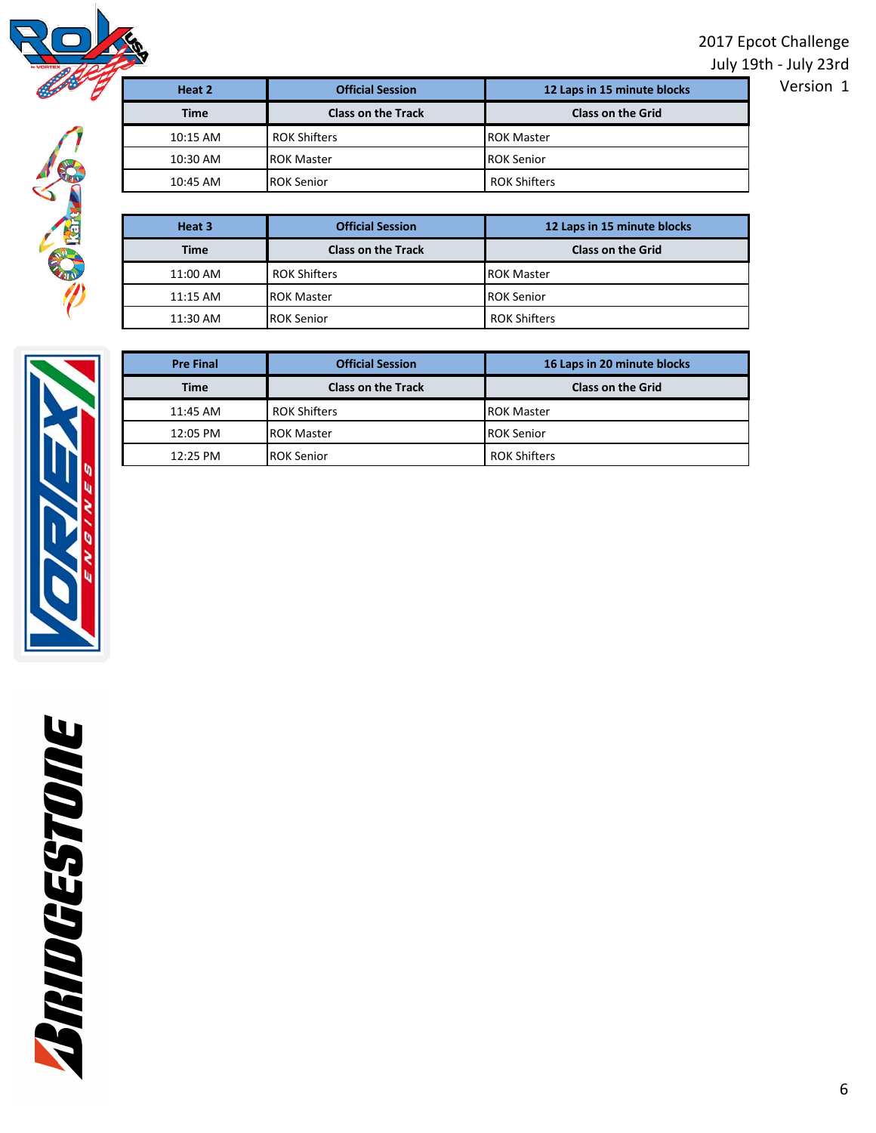2017 Epcot Challenge

July 19th - July 23rd



| Heat 2      | <b>Official Session</b>   | 12 Laps in 15 minute blocks | Version 1 |
|-------------|---------------------------|-----------------------------|-----------|
| <b>Time</b> | <b>Class on the Track</b> | <b>Class on the Grid</b>    |           |
| $10:15$ AM  | <b>ROK Shifters</b>       | <b>ROK Master</b>           |           |
| 10:30 AM    | <b>IROK Master</b>        | <b>ROK Senior</b>           |           |
| 10:45 AM    | <b>IROK Senior</b>        | <b>ROK Shifters</b>         |           |
|             |                           |                             |           |

| Heat 3      | <b>Official Session</b>   | 12 Laps in 15 minute blocks |
|-------------|---------------------------|-----------------------------|
| <b>Time</b> | <b>Class on the Track</b> | <b>Class on the Grid</b>    |
| 11:00 AM    | <b>ROK Shifters</b>       | <b>IROK Master</b>          |
| $11:15$ AM  | <b>ROK Master</b>         | <b>ROK Senior</b>           |
| 11:30 AM    | <b>ROK Senior</b>         | <b>ROK Shifters</b>         |



| <b>Pre Final</b> | <b>Official Session</b>   | 16 Laps in 20 minute blocks |
|------------------|---------------------------|-----------------------------|
| Time             | <b>Class on the Track</b> | <b>Class on the Grid</b>    |
| 11:45 AM         | <b>ROK Shifters</b>       | <b>ROK Master</b>           |
| 12:05 PM         | <b>ROK Master</b>         | <b>ROK Senior</b>           |
| 12:25 PM         | <b>ROK Senior</b>         | <b>ROK Shifters</b>         |